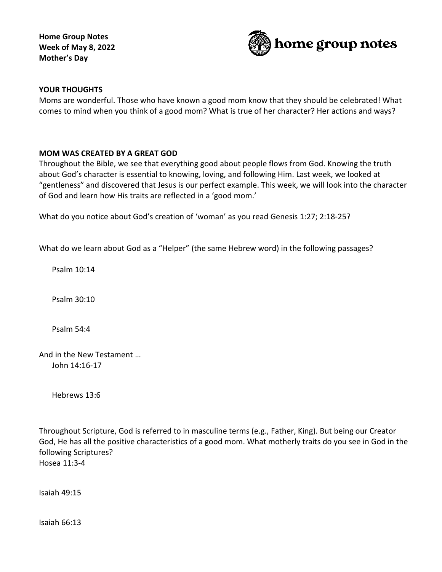**Home Group Notes Week of May 8, 2022 Mother's Day**



## **YOUR THOUGHTS**

Moms are wonderful. Those who have known a good mom know that they should be celebrated! What comes to mind when you think of a good mom? What is true of her character? Her actions and ways?

### **MOM WAS CREATED BY A GREAT GOD**

Throughout the Bible, we see that everything good about people flows from God. Knowing the truth about God's character is essential to knowing, loving, and following Him. Last week, we looked at "gentleness" and discovered that Jesus is our perfect example. This week, we will look into the character of God and learn how His traits are reflected in a 'good mom.'

What do you notice about God's creation of 'woman' as you read Genesis 1:27; 2:18-25?

What do we learn about God as a "Helper" (the same Hebrew word) in the following passages?

Psalm 10:14

Psalm 30:10

Psalm 54:4

And in the New Testament … John 14:16-17

Hebrews 13:6

Throughout Scripture, God is referred to in masculine terms (e.g., Father, King). But being our Creator God, He has all the positive characteristics of a good mom. What motherly traits do you see in God in the following Scriptures? Hosea 11:3-4

Isaiah 49:15

Isaiah 66:13